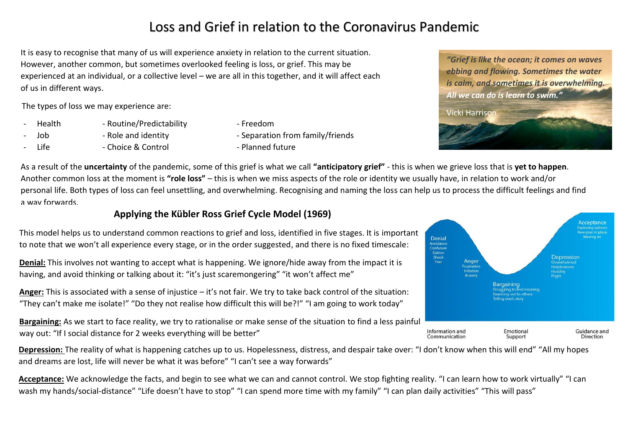# Loss and Grief in relation to the Coronavirus Pandemic

It is easy to recognise that many of us will experience anxiety in relation to the current situation. However, another common, but sometimes overlooked feeling is loss, or grief. This may be experienced at an individual, or a collective level – we are all in this together, and it will affect each of us in different ways.

The types of loss we may experience are:

Health - Routine/Predictability - Freedom Job - Role and identity - Separation from family/friends Life - Choice & Control - Planned future





As a result of the **uncertainty** of the pandemic, some of this grief is what we call **"anticipatory grief"** - this is when we grieve loss that is **yet to happen**. Another common loss at the moment is **"role loss"** – this is when we miss aspects of the role or identity we usually have, in relation to work and/or personal life. Both types of loss can feel unsettling, and overwhelming. Recognising and naming the loss can help us to process the difficult feelings and find a way forwards.

## **Applying the Kübler Ross Grief Cycle Model (1969)**

This model helps us to understand common reactions to grief and loss, identified in five stages. It is important to note that we won't all experience every stage, or in the order suggested, and there is no fixed timescale:

**Denial:** This involves not wanting to accept what is happening. We ignore/hide away from the impact it is having, and avoid thinking or talking about it: "it's just scaremongering" "it won't affect me"

**Anger:** This is associated with a sense of injustice – it's not fair. We try to take back control of the situation: "They can't make me isolate!" "Do they not realise how difficult this will be?!" "I am going to work today"

**Bargaining:** As we start to face reality, we try to rationalise or make sense of the situation to find a less painful way out: "If I social distance for 2 weeks everything will be better"

**Depression:** The reality of what is happening catches up to us. Hopelessness, distress, and despair take over: "I don't know when this will end" "All my hopes and dreams are lost, life will never be what it was before" "I can't see a way forwards"

**Acceptance:** We acknowledge the facts, and begin to see what we can and cannot control. We stop fighting reality. "I can learn how to work virtually" "I can wash my hands/social-distance" "Life doesn't have to stop" "I can spend more time with my family" "I can plan daily activities" "This will pass"